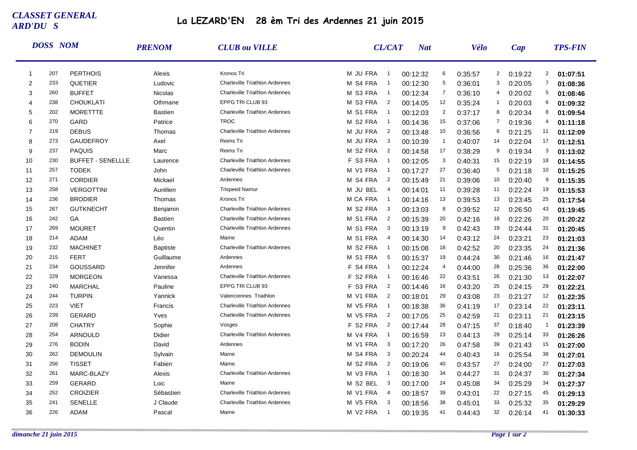## *CLASSET GENERAL ARD'DU S*

## **La LEZARD'EN 28 èm Tri des Ardennes 21 juin 2015**

|                | <b>DOSS NOM</b> |                          | <b>PRENOM</b>   | <b>CLUB</b> ou VILLE                  | <b>CL/CAT</b>                        | <b>Nat</b> |                | Vélo    |                | Cap     |                | <b>TPS-FIN</b> |
|----------------|-----------------|--------------------------|-----------------|---------------------------------------|--------------------------------------|------------|----------------|---------|----------------|---------|----------------|----------------|
| $\mathbf{1}$   | 207             | <b>PERTHOIS</b>          | Alexis          | Kronos Tri                            | M JU FRA<br>$\overline{1}$           | 00:12:32   | 6              | 0:35:57 | $\overline{2}$ | 0:19:22 | $\overline{2}$ | 01:07:51       |
| 2              | 233             | QUETIER                  | Ludovic         | Charleville Triathlon Ardennes        | M S4 FRA<br>$\overline{1}$           | 00:12:30   | 5              | 0:36:01 | 3              | 0:20:05 | $\overline{7}$ | 01:08:36       |
| 3              | 260             | <b>BUFFET</b>            | <b>Nicolas</b>  | <b>Charleville Triathlon Ardennes</b> | M S3 FRA<br>$\overline{1}$           | 00:12:34   | $\overline{7}$ | 0:36:10 | 4              | 0:20:02 | 5              | 01:08:46       |
| $\overline{4}$ | 238             | <b>CHOUKLATI</b>         | Othmane         | EPPG TRI CLUB 93                      | M S3 FRA<br>$\overline{2}$           | 00:14:05   | 12             | 0:35:24 | $\mathbf{1}$   | 0:20:03 | 6              | 01:09:32       |
| 5              | 202             | <b>MORETTTE</b>          | <b>Bastien</b>  | <b>Charleville Triathlon Ardennes</b> | M S1 FRA<br>$\overline{1}$           | 00:12:03   | $\overline{2}$ | 0:37:17 | 8              | 0:20:34 | 8              | 01:09:54       |
| 6              | 270             | GARD                     | Patrice         | <b>TROC</b>                           | M S2 FRA<br>$\overline{1}$           | 00:14:36   | 15             | 0:37:06 | 7              | 0:19:36 | 4              | 01:11:18       |
| $\overline{7}$ | 219             | <b>DEBUS</b>             | Thomas          | <b>Charleville Triathlon Ardennes</b> | M JU FRA<br>$\overline{2}$           | 00:13:48   | 10             | 0:36:56 | 6              | 0:21:25 | 11             | 01:12:09       |
| 8              | 273             | <b>GAUDEFROY</b>         | Axel            | Reims Tri                             | $\overline{3}$<br>M JU FRA           | 00:10:39   | $\mathbf{1}$   | 0:40:07 | 14             | 0:22:04 | 17             | 01:12:51       |
| 9              | 237             | <b>PAQUIS</b>            | Marc            | Reims Tri                             | M S2 FRA<br>$\overline{2}$           | 00:14:58   | 17             | 0:38:29 | 9              | 0:19:34 | 3              | 01:13:02       |
| 10             | 230             | <b>BUFFET - SENELLLE</b> | Laurence        | <b>Charleville Triathlon Ardennes</b> | F S3 FRA<br>$\overline{1}$           | 00:12:05   | 3              | 0:40:31 | 15             | 0:22:19 | 18             | 01:14:55       |
| 11             | 257             | <b>TODEK</b>             | John            | <b>Charleville Triathlon Ardennes</b> | M V1 FRA<br>$\overline{1}$           | 00:17:27   | 27             | 0:36:40 | 5              | 0:21:18 | 10             | 01:15:25       |
| 12             | 271             | <b>CORDIER</b>           | Mickael         | Ardennes                              | M S4<br>$\overline{2}$<br><b>FRA</b> | 00:15:49   | 21             | 0:39:06 | 10             | 0:20:40 | 9              | 01:15:35       |
| 13             | 258             | <b>VERGOTTINI</b>        | Aurélien        | <b>Trispeed Namur</b>                 | <b>BEL</b><br>M JU<br>$\overline{4}$ | 00:14:01   | 11             | 0:39:28 | 11             | 0:22:24 | 19             | 01:15:53       |
| 14             | 236             | <b>BRODIER</b>           | Thomas          | Kronos Tri                            | M CA FRA<br>$\overline{1}$           | 00:14:16   | 13             | 0:39:53 | 13             | 0:23:45 | 25             | 01:17:54       |
| 15             | 267             | <b>GUTKNECHT</b>         | Benjamin        | <b>Charleville Triathlon Ardennes</b> | M S2 FRA<br>- 3                      | 00:13:03   | 8              | 0:39:52 | 12             | 0:26:50 | 43             | 01:19:45       |
| 16             | 242             | GA                       | <b>Bastien</b>  | <b>Charleville Triathlon Ardennes</b> | M S1 FRA<br>$\overline{2}$           | 00:15:39   | 20             | 0:42:16 | 18             | 0:22:26 | 20             | 01:20:22       |
| 17             | 269             | <b>MOURET</b>            | Quentin         | <b>Charleville Triathlon Ardennes</b> | M S1 FRA<br>3                        | 00:13:19   | 9              | 0:42:43 | 19             | 0:24:44 | 31             | 01:20:45       |
| 18             | 214             | <b>ADAM</b>              | Léo             | Marne                                 | M S1 FRA<br>4                        | 00:14:30   | 14             | 0:43:12 | 24             | 0:23:21 | 23             | 01:21:03       |
| 19             | 232             | <b>MACHINET</b>          | <b>Baptiste</b> | <b>Charleville Triathlon Ardennes</b> | M S2 FRA<br>$\overline{1}$           | 00:15:08   | 18             | 0:42:52 | 20             | 0:23:35 | 24             | 01:21:36       |
| 20             | 215             | <b>FERT</b>              | Guillaume       | Ardennes                              | M S1<br>- 5<br>FRA                   | 00:15:37   | 19             | 0:44:24 | 30             | 0:21:46 | 16             | 01:21:47       |
| 21             | 234             | GOUSSARD                 | Jennifer        | Ardennes                              | F S4 FRA<br>$\overline{1}$           | 00:12:24   | $\overline{4}$ | 0:44:00 | 28             | 0:25:36 | 36             | 01:22:00       |
| 22             | 229             | <b>MORGEON</b>           | Vanessa         | <b>Charleville Triathlon Ardennes</b> | F S2 FRA<br>$\overline{1}$           | 00:16:46   | 22             | 0:43:51 | 26             | 0:21:30 | 13             | 01:22:07       |
| 23             | 240             | <b>MARCHAL</b>           | Pauline         | EPPG TRI CLUB 93                      | F S3 FRA<br>$\overline{2}$           | 00:14:46   | 16             | 0:43:20 | 25             | 0:24:15 | 29             | 01:22:21       |
| 24             | 244             | <b>TURPIN</b>            | Yannick         | Valenciennes Triathlon                | M V1 FRA<br>$\overline{2}$           | 00:18:01   | 29             | 0:43:08 | 23             | 0:21:27 | 12             | 01:22:35       |
| 25             | 223             | <b>VIET</b>              | Francis         | <b>Charleville Triathlon Ardennes</b> | M V5 FRA<br>$\overline{1}$           | 00:18:38   | 36             | 0:41:19 | 17             | 0:23:14 | 22             | 01:23:11       |
| 26             | 239             | <b>GERARD</b>            | Yves            | Charleville Triathlon Ardennes        | M V5 FRA<br>$\overline{2}$           | 00:17:05   | 25             | 0:42:59 | 21             | 0:23:11 | 21             | 01:23:15       |
| 27             | 208             | <b>CHATRY</b>            | Sophie          | Vosges                                | F S2 FRA<br>$\overline{2}$           | 00:17:44   | 28             | 0:47:15 | 37             | 0:18:40 | $\overline{1}$ | 01:23:39       |
| 28             | 254             | ARNOULD                  | Didier          | <b>Charleville Triathlon Ardennes</b> | M V4 FRA<br>$\overline{1}$           | 00:16:59   | 23             | 0:44:13 | 29             | 0:25:14 | 33             | 01:26:26       |
| 29             | 276             | <b>BODIN</b>             | David           | Ardennes                              | M V1 FRA<br>$\overline{3}$           | 00:17:20   | 26             | 0:47:58 | 39             | 0:21:43 | 15             | 01:27:00       |
| 30             | 262             | <b>DEMOULIN</b>          | Sylvain         | Marne                                 | M S4 FRA<br>$\overline{3}$           | 00:20:24   | 44             | 0:40:43 | 16             | 0:25:54 | 38             | 01:27:01       |
| 31             | 256             | <b>TISSET</b>            | Fabien          | Marne                                 | M S2 FRA<br>$\overline{2}$           | 00:19:06   | 40             | 0:43:57 | 27             | 0:24:00 | 27             | 01:27:03       |
| 32             | 261             | MARC-BLAZY               | Alexis          | <b>Charleville Triathlon Ardennes</b> | M V3 FRA<br>$\overline{1}$           | 00:18:30   | 34             | 0:44:27 | 31             | 0:24:37 | 30             | 01:27:34       |
| 33             | 259             | <b>GERARD</b>            | Loic            | Marne                                 | M S2 BEL<br>$\overline{3}$           | 00:17:00   | 24             | 0:45:08 | 34             | 0:25:29 | 34             | 01:27:37       |
| 34             | 252             | <b>CROIZIER</b>          | Sébastien       | <b>Charleville Triathlon Ardennes</b> | M V1 FRA<br>$\overline{4}$           | 00:18:57   | 39             | 0:43:01 | 22             | 0:27:15 | 45             | 01:29:13       |
| 35             | 241             | <b>SENELLE</b>           | J Claude        | <b>Charleville Triathlon Ardennes</b> | M V5 FRA<br>3                        | 00:18:56   | 38             | 0:45:01 | 33             | 0:25:32 | 35             | 01:29:29       |
| 36             | 226             | ADAM                     | Pascal          | Marne                                 | M V2 FRA<br>$\overline{1}$           | 00:19:35   | 41             | 0:44:43 | 32             | 0:26:14 | 41             | 01:30:33       |
|                |                 |                          |                 |                                       |                                      |            |                |         |                |         |                |                |